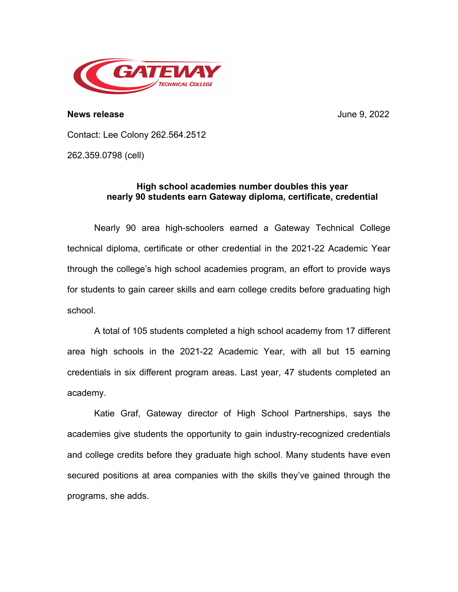

**News release** June 9, 2022

Contact: Lee Colony 262.564.2512

262.359.0798 (cell)

## **High school academies number doubles this year nearly 90 students earn Gateway diploma, certificate, credential**

Nearly 90 area high-schoolers earned a Gateway Technical College technical diploma, certificate or other credential in the 2021-22 Academic Year through the college's high school academies program, an effort to provide ways for students to gain career skills and earn college credits before graduating high school.

A total of 105 students completed a high school academy from 17 different area high schools in the 2021-22 Academic Year, with all but 15 earning credentials in six different program areas. Last year, 47 students completed an academy.

Katie Graf, Gateway director of High School Partnerships, says the academies give students the opportunity to gain industry-recognized credentials and college credits before they graduate high school. Many students have even secured positions at area companies with the skills they've gained through the programs, she adds.